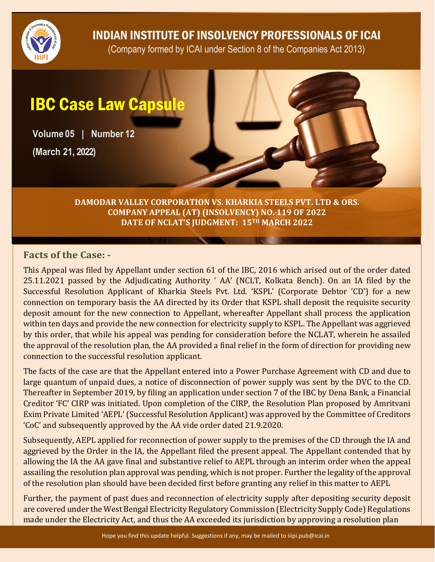

INDIAN INSTITUTE OF INSOLVENCY PROFESSIONALS OF ICAI

(Company formed by ICAI under Section 8 of the Companies Act 2013)

## IBC Case Law Capsule

**Volume 05 | Number 12 (March 21, 2022)**

> **DAMODAR VALLEY CORPORATION VS. KHARKIA STEELS PVT. LTD & ORS. COMPANY APPEAL (AT) (INSOLVENCY) NO. 119 OF 2022 DATE OF NCLAT'S JUDGMENT: 15TH MARCH 2022**

## **Facts of the Case: -**

This Appeal was filed by Appellant under section 61 of the IBC, 2016 which arised out of the order dated 25.11.2021 passed by the Adjudicating Authority ' AA' (NCLT, Kolkata Bench). On an IA filed by the Successful Resolution Applicant of Kharkia Steels Pvt. Ltd. 'KSPL' (Corporate Debtor 'CD') for a new connection on temporary basis the AA directed by its Order that KSPL shall deposit the requisite security deposit amount for the new connection to Appellant, whereafter Appellant shall process the application within ten days and provide the new connection for electricity supply to KSPL. The Appellant was aggrieved by this order, that while his appeal was pending for consideration before the NCLAT, wherein he assailed the approval of the resolution plan, the AA provided a final relief in the form of direction for providing new connection to the successful resolution applicant.

The facts of the case are that the Appellant entered into a Power Purchase Agreement with CD and due to large quantum of unpaid dues, a notice of disconnection of power supply was sent by the DVC to the CD. Thereafter in September 2019, by filing an application under section 7 of the IBC by Dena Bank, a Financial Creditor 'FC' CIRP was initiated. Upon completion of the CIRP, the Resolution Plan proposed by Amritvani Exim Private Limited 'AEPL' (Successful Resolution Applicant) was approved by the Committee of Creditors 'CoC' and subsequently approved by the AA vide order dated 21.9.2020.

Subsequently, AEPL applied for reconnection of power supply to the premises of the CD through the IA and aggrieved by the Order in the IA, the Appellant filed the present appeal. The Appellant contended that by allowing the IA the AA gave final and substantive relief to AEPL through an interim order when the appeal assailing the resolution plan approval was pending, which is not proper. Further the legality of the approval of the resolution plan should have been decided first before granting any relief in this matter to AEPL

Further, the payment of past dues and reconnection of electricity supply after depositing security deposit are covered under the West Bengal Electricity Regulatory Commission (Electricity Supply Code) Regulations made under the Electricity Act, and thus the AA exceeded its jurisdiction by approving a resolution plan